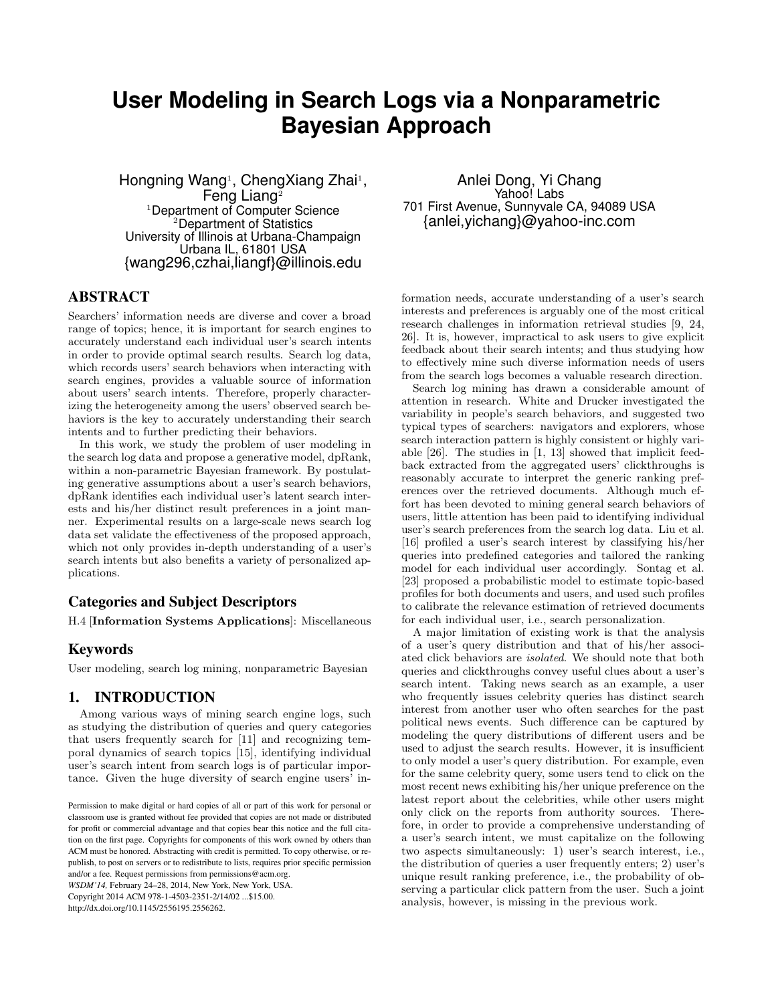# **User Modeling in Search Logs via a Nonparametric Bayesian Approach**

Hongning Wang<sup>1</sup>, ChengXiang Zhai<sup>1</sup>, Feng Liang $2$ <sup>1</sup>Department of Computer Science <sup>2</sup>Department of Statistics University of Illinois at Urbana-Champaign Urbana IL, 61801 USA {wang296,czhai,liangf}@illinois.edu

# ABSTRACT

Searchers' information needs are diverse and cover a broad range of topics; hence, it is important for search engines to accurately understand each individual user's search intents in order to provide optimal search results. Search log data, which records users' search behaviors when interacting with search engines, provides a valuable source of information about users' search intents. Therefore, properly characterizing the heterogeneity among the users' observed search behaviors is the key to accurately understanding their search intents and to further predicting their behaviors.

In this work, we study the problem of user modeling in the search log data and propose a generative model, dpRank, within a non-parametric Bayesian framework. By postulating generative assumptions about a user's search behaviors, dpRank identifies each individual user's latent search interests and his/her distinct result preferences in a joint manner. Experimental results on a large-scale news search log data set validate the effectiveness of the proposed approach, which not only provides in-depth understanding of a user's search intents but also benefits a variety of personalized applications.

# Categories and Subject Descriptors

H.4 [**Information Systems Applications**]: Miscellaneous

# Keywords

User modeling, search log mining, nonparametric Bayesian

# 1. INTRODUCTION

Among various ways of mining search engine logs, such as studying the distribution of queries and query categories that users frequently search for [11] and recognizing temporal dynamics of search topics [15], identifying individual user's search intent from search logs is of particular importance. Given the huge diversity of search engine users' in-

*WSDM'14,* February 24–28, 2014, New York, New York, USA. Copyright 2014 ACM 978-1-4503-2351-2/14/02 ...\$15.00.

http://dx.doi.org/10.1145/2556195.2556262.

Anlei Dong, Yi Chang Yahoo! Labs 701 First Avenue, Sunnyvale CA, 94089 USA {anlei,yichang}@yahoo-inc.com

formation needs, accurate understanding of a user's search interests and preferences is arguably one of the most critical research challenges in information retrieval studies [9, 24, 26]. It is, however, impractical to ask users to give explicit feedback about their search intents; and thus studying how to effectively mine such diverse information needs of users from the search logs becomes a valuable research direction.

Search log mining has drawn a considerable amount of attention in research. White and Drucker investigated the variability in people's search behaviors, and suggested two typical types of searchers: navigators and explorers, whose search interaction pattern is highly consistent or highly variable [26]. The studies in [1, 13] showed that implicit feedback extracted from the aggregated users' clickthroughs is reasonably accurate to interpret the generic ranking preferences over the retrieved documents. Although much effort has been devoted to mining general search behaviors of users, little attention has been paid to identifying individual user's search preferences from the search log data. Liu et al. [16] profiled a user's search interest by classifying his/her queries into predefined categories and tailored the ranking model for each individual user accordingly. Sontag et al. [23] proposed a probabilistic model to estimate topic-based profiles for both documents and users, and used such profiles to calibrate the relevance estimation of retrieved documents for each individual user, i.e., search personalization.

A major limitation of existing work is that the analysis of a user's query distribution and that of his/her associated click behaviors are *isolated*. We should note that both queries and clickthroughs convey useful clues about a user's search intent. Taking news search as an example, a user who frequently issues celebrity queries has distinct search interest from another user who often searches for the past political news events. Such difference can be captured by modeling the query distributions of different users and be used to adjust the search results. However, it is insufficient to only model a user's query distribution. For example, even for the same celebrity query, some users tend to click on the most recent news exhibiting his/her unique preference on the latest report about the celebrities, while other users might only click on the reports from authority sources. Therefore, in order to provide a comprehensive understanding of a user's search intent, we must capitalize on the following two aspects simultaneously: 1) user's search interest, i.e., the distribution of queries a user frequently enters; 2) user's unique result ranking preference, i.e., the probability of observing a particular click pattern from the user. Such a joint analysis, however, is missing in the previous work.

Permission to make digital or hard copies of all or part of this work for personal or classroom use is granted without fee provided that copies are not made or distributed for profit or commercial advantage and that copies bear this notice and the full citation on the first page. Copyrights for components of this work owned by others than ACM must be honored. Abstracting with credit is permitted. To copy otherwise, or republish, to post on servers or to redistribute to lists, requires prior specific permission and/or a fee. Request permissions from permissions@acm.org.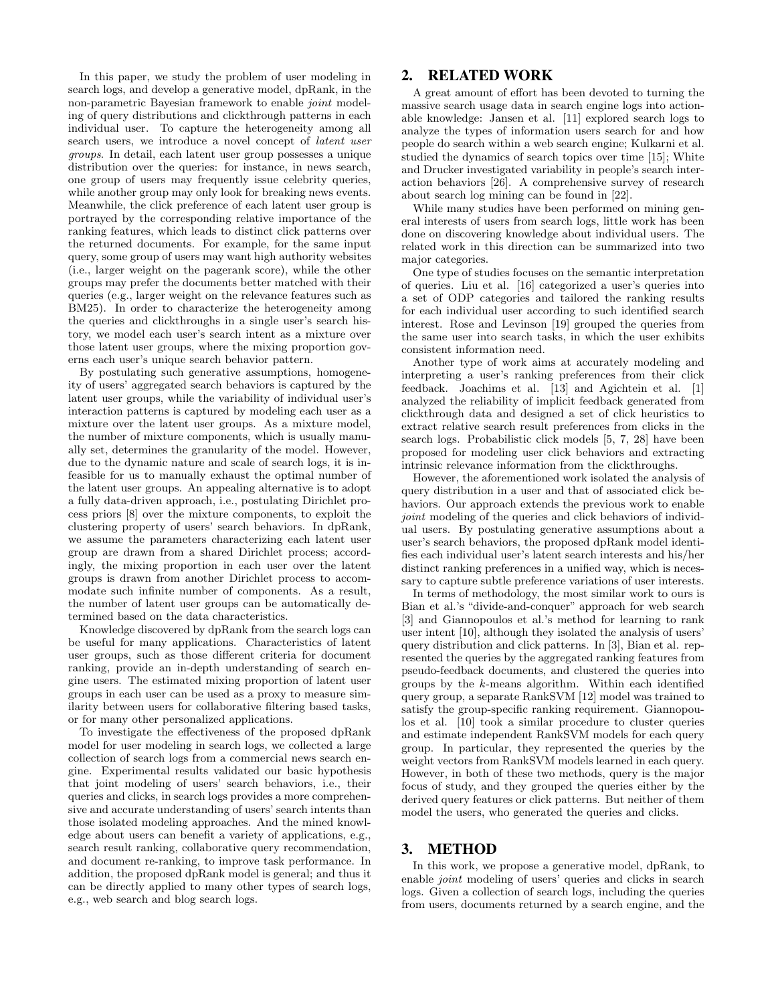In this paper, we study the problem of user modeling in search logs, and develop a generative model, dpRank, in the non-parametric Bayesian framework to enable *joint* modeling of query distributions and clickthrough patterns in each individual user. To capture the heterogeneity among all search users, we introduce a novel concept of *latent user groups*. In detail, each latent user group possesses a unique distribution over the queries: for instance, in news search, one group of users may frequently issue celebrity queries, while another group may only look for breaking news events. Meanwhile, the click preference of each latent user group is portrayed by the corresponding relative importance of the ranking features, which leads to distinct click patterns over the returned documents. For example, for the same input query, some group of users may want high authority websites (i.e., larger weight on the pagerank score), while the other groups may prefer the documents better matched with their queries (e.g., larger weight on the relevance features such as BM25). In order to characterize the heterogeneity among the queries and clickthroughs in a single user's search history, we model each user's search intent as a mixture over those latent user groups, where the mixing proportion governs each user's unique search behavior pattern.

By postulating such generative assumptions, homogeneity of users' aggregated search behaviors is captured by the latent user groups, while the variability of individual user's interaction patterns is captured by modeling each user as a mixture over the latent user groups. As a mixture model, the number of mixture components, which is usually manually set, determines the granularity of the model. However, due to the dynamic nature and scale of search logs, it is infeasible for us to manually exhaust the optimal number of the latent user groups. An appealing alternative is to adopt a fully data-driven approach, i.e., postulating Dirichlet process priors [8] over the mixture components, to exploit the clustering property of users' search behaviors. In dpRank, we assume the parameters characterizing each latent user group are drawn from a shared Dirichlet process; accordingly, the mixing proportion in each user over the latent groups is drawn from another Dirichlet process to accommodate such infinite number of components. As a result, the number of latent user groups can be automatically determined based on the data characteristics.

Knowledge discovered by dpRank from the search logs can be useful for many applications. Characteristics of latent user groups, such as those different criteria for document ranking, provide an in-depth understanding of search engine users. The estimated mixing proportion of latent user groups in each user can be used as a proxy to measure similarity between users for collaborative filtering based tasks, or for many other personalized applications.

To investigate the effectiveness of the proposed dpRank model for user modeling in search logs, we collected a large collection of search logs from a commercial news search engine. Experimental results validated our basic hypothesis that joint modeling of users' search behaviors, i.e., their queries and clicks, in search logs provides a more comprehensive and accurate understanding of users' search intents than those isolated modeling approaches. And the mined knowledge about users can benefit a variety of applications, e.g., search result ranking, collaborative query recommendation, and document re-ranking, to improve task performance. In addition, the proposed dpRank model is general; and thus it can be directly applied to many other types of search logs, e.g., web search and blog search logs.

# 2. RELATED WORK

A great amount of effort has been devoted to turning the massive search usage data in search engine logs into actionable knowledge: Jansen et al. [11] explored search logs to analyze the types of information users search for and how people do search within a web search engine; Kulkarni et al. studied the dynamics of search topics over time [15]; White and Drucker investigated variability in people's search interaction behaviors [26]. A comprehensive survey of research about search log mining can be found in [22].

While many studies have been performed on mining general interests of users from search logs, little work has been done on discovering knowledge about individual users. The related work in this direction can be summarized into two major categories.

One type of studies focuses on the semantic interpretation of queries. Liu et al. [16] categorized a user's queries into a set of ODP categories and tailored the ranking results for each individual user according to such identified search interest. Rose and Levinson [19] grouped the queries from the same user into search tasks, in which the user exhibits consistent information need.

Another type of work aims at accurately modeling and interpreting a user's ranking preferences from their click feedback. Joachims et al. [13] and Agichtein et al. [1] analyzed the reliability of implicit feedback generated from clickthrough data and designed a set of click heuristics to extract relative search result preferences from clicks in the search logs. Probabilistic click models [5, 7, 28] have been proposed for modeling user click behaviors and extracting intrinsic relevance information from the clickthroughs.

However, the aforementioned work isolated the analysis of query distribution in a user and that of associated click behaviors. Our approach extends the previous work to enable *joint* modeling of the queries and click behaviors of individual users. By postulating generative assumptions about a user's search behaviors, the proposed dpRank model identifies each individual user's latent search interests and his/her distinct ranking preferences in a unified way, which is necessary to capture subtle preference variations of user interests.

In terms of methodology, the most similar work to ours is Bian et al.'s "divide-and-conquer" approach for web search [3] and Giannopoulos et al.'s method for learning to rank user intent [10], although they isolated the analysis of users' query distribution and click patterns. In [3], Bian et al. represented the queries by the aggregated ranking features from pseudo-feedback documents, and clustered the queries into groups by the *k*-means algorithm. Within each identified query group, a separate RankSVM [12] model was trained to satisfy the group-specific ranking requirement. Giannopoulos et al. [10] took a similar procedure to cluster queries and estimate independent RankSVM models for each query group. In particular, they represented the queries by the weight vectors from RankSVM models learned in each query. However, in both of these two methods, query is the major focus of study, and they grouped the queries either by the derived query features or click patterns. But neither of them model the users, who generated the queries and clicks.

# 3. METHOD

In this work, we propose a generative model, dpRank, to enable *joint* modeling of users' queries and clicks in search logs. Given a collection of search logs, including the queries from users, documents returned by a search engine, and the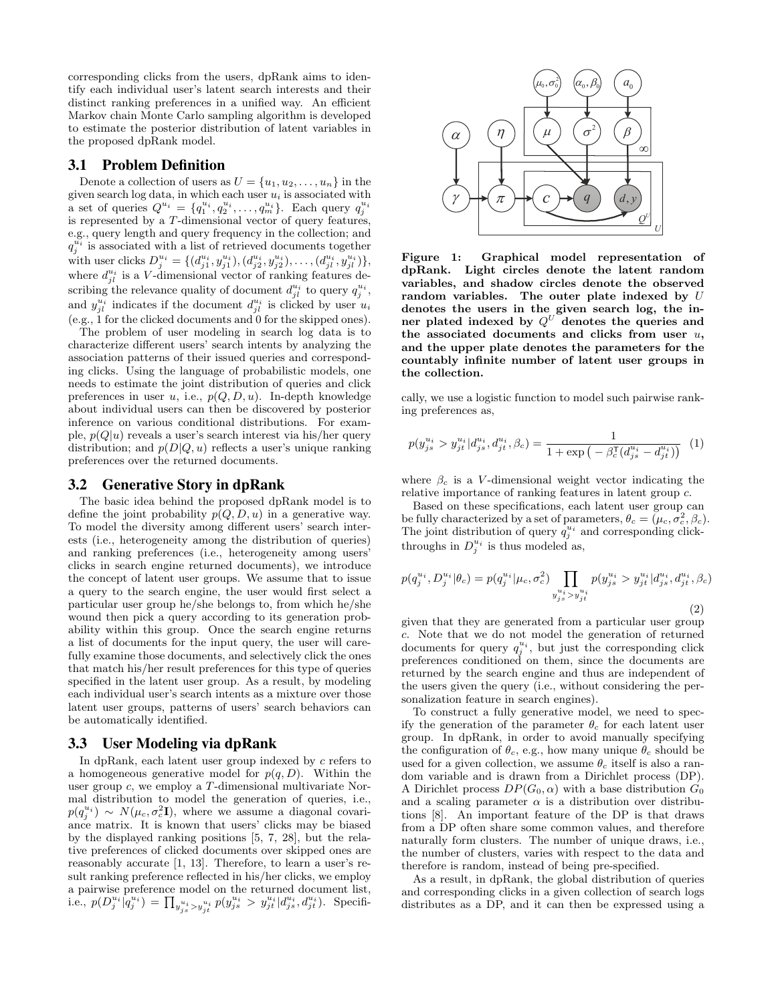corresponding clicks from the users, dpRank aims to identify each individual user's latent search interests and their distinct ranking preferences in a unified way. An efficient Markov chain Monte Carlo sampling algorithm is developed to estimate the posterior distribution of latent variables in the proposed dpRank model.

# 3.1 Problem Definition

Denote a collection of users as  $U = \{u_1, u_2, \dots, u_n\}$  in the given search log data, in which each user *u<sup>i</sup>* is associated with a set of queries  $Q^{u_i} = \{q_1^{u_i}, q_2^{u_i}, \dots, q_m^{u_i}\}$ . Each query  $q_j^{u_i}$ is represented by a *T*-dimensional vector of query features, e.g., query length and query frequency in the collection; and  $q_j^{u_i}$  is associated with a list of retrieved documents together with user clicks  $D_j^{u_i} = \{ (d_{j1}^{u_i}, y_{j1}^{u_i}), (d_{j2}^{u_i}, y_{j2}^{u_i}), \dots, (d_{jl}^{u_i}, y_{jl}^{u_i}) \},$ where  $d_{jl}^{u_i}$  is a *V*-dimensional vector of ranking features describing the relevance quality of document  $d_{jl}^{u_i}$  to query  $q_j^{u_i}$ , and  $y_{jl}^{u_i}$  indicates if the document  $d_{jl}^{u_i}$  is clicked by user  $u_i$ (e.g., 1 for the clicked documents and 0 for the skipped ones).

The problem of user modeling in search log data is to characterize different users' search intents by analyzing the association patterns of their issued queries and corresponding clicks. Using the language of probabilistic models, one needs to estimate the joint distribution of queries and click preferences in user *u*, i.e., *p*(*Q, D, u*). In-depth knowledge about individual users can then be discovered by posterior inference on various conditional distributions. For example,  $p(Q|u)$  reveals a user's search interest via his/her query distribution; and  $p(D|Q, u)$  reflects a user's unique ranking preferences over the returned documents.

#### 3.2 Generative Story in dpRank

The basic idea behind the proposed dpRank model is to define the joint probability  $p(Q, D, u)$  in a generative way. To model the diversity among different users' search interests (i.e., heterogeneity among the distribution of queries) and ranking preferences (i.e., heterogeneity among users' clicks in search engine returned documents), we introduce the concept of latent user groups. We assume that to issue a query to the search engine, the user would first select a particular user group he/she belongs to, from which he/she wound then pick a query according to its generation probability within this group. Once the search engine returns a list of documents for the input query, the user will carefully examine those documents, and selectively click the ones that match his/her result preferences for this type of queries specified in the latent user group. As a result, by modeling each individual user's search intents as a mixture over those latent user groups, patterns of users' search behaviors can be automatically identified.

# 3.3 User Modeling via dpRank

In dpRank, each latent user group indexed by *c* refers to a homogeneous generative model for  $p(q, D)$ . Within the user group *c*, we employ a *T*-dimensional multivariate Normal distribution to model the generation of queries, i.e.,  $p(q_j^{u_i}) \sim N(\mu_c, \sigma_c^2 \mathbf{I})$ , where we assume a diagonal covariance matrix. It is known that users' clicks may be biased by the displayed ranking positions [5, 7, 28], but the relative preferences of clicked documents over skipped ones are reasonably accurate [1, 13]. Therefore, to learn a user's result ranking preference reflected in his/her clicks, we employ a pairwise preference model on the returned document list, i.e.,  $p(D_j^{u_i} | q_j^{u_i}) = \prod_{y_{j_s}^{u_i} > y_{jt}^{u_i}} p(y_{js}^{u_i} > y_{jt}^{u_i} | d_{js}^{u_i}, d_{jt}^{u_i}).$  Specifi-



**Figure 1: Graphical model representation of dpRank. Light circles denote the latent random variables, and shadow circles denote the observed random variables. The outer plate indexed by** *U* **denotes the users in the given search log, the in**ner plated indexed by  $Q^U$  denotes the queries and **the associated documents and clicks from user** *u***, and the upper plate denotes the parameters for the countably infinite number of latent user groups in the collection.**

cally, we use a logistic function to model such pairwise ranking preferences as,

$$
p(y_{js}^{u_i} > y_{jt}^{u_i} | d_{js}^{u_i}, d_{jt}^{u_i}, \beta_c) = \frac{1}{1 + \exp\left(-\beta_c^{\mathrm{T}}(d_{js}^{u_i} - d_{jt}^{u_i})\right)} \tag{1}
$$

where  $\beta_c$  is a *V*-dimensional weight vector indicating the relative importance of ranking features in latent group *c*.

Based on these specifications, each latent user group can be fully characterized by a set of parameters,  $\theta_c = (\mu_c, \sigma_c^2, \beta_c)$ . The joint distribution of query  $q_j^{u_i}$  and corresponding clickthroughs in  $D_j^{u_i}$  is thus modeled as,

$$
p(q_j^{u_i}, D_j^{u_i}|\theta_c) = p(q_j^{u_i}|\mu_c, \sigma_c^2) \prod_{y_{js}^{u_i} > y_{jt}^{u_i}} p(y_{js}^{u_i} > y_{jt}^{u_i} | d_{js}^{u_i}, d_{jt}^{u_i}, \beta_c)
$$
\n(2)

given that they are generated from a particular user group *c*. Note that we do not model the generation of returned documents for query  $q_j^{u_i}$ , but just the corresponding click preferences conditioned on them, since the documents are returned by the search engine and thus are independent of the users given the query (i.e., without considering the personalization feature in search engines).

To construct a fully generative model, we need to specify the generation of the parameter  $\theta_c$  for each latent user group. In dpRank, in order to avoid manually specifying the configuration of  $\theta_c$ , e.g., how many unique  $\theta_c$  should be used for a given collection, we assume  $\theta_c$  itself is also a random variable and is drawn from a Dirichlet process (DP). A Dirichlet process  $DP(G_0, \alpha)$  with a base distribution  $G_0$ and a scaling parameter  $\alpha$  is a distribution over distributions [8]. An important feature of the DP is that draws from a DP often share some common values, and therefore naturally form clusters. The number of unique draws, i.e., the number of clusters, varies with respect to the data and therefore is random, instead of being pre-specified.

As a result, in dpRank, the global distribution of queries and corresponding clicks in a given collection of search logs distributes as a DP, and it can then be expressed using a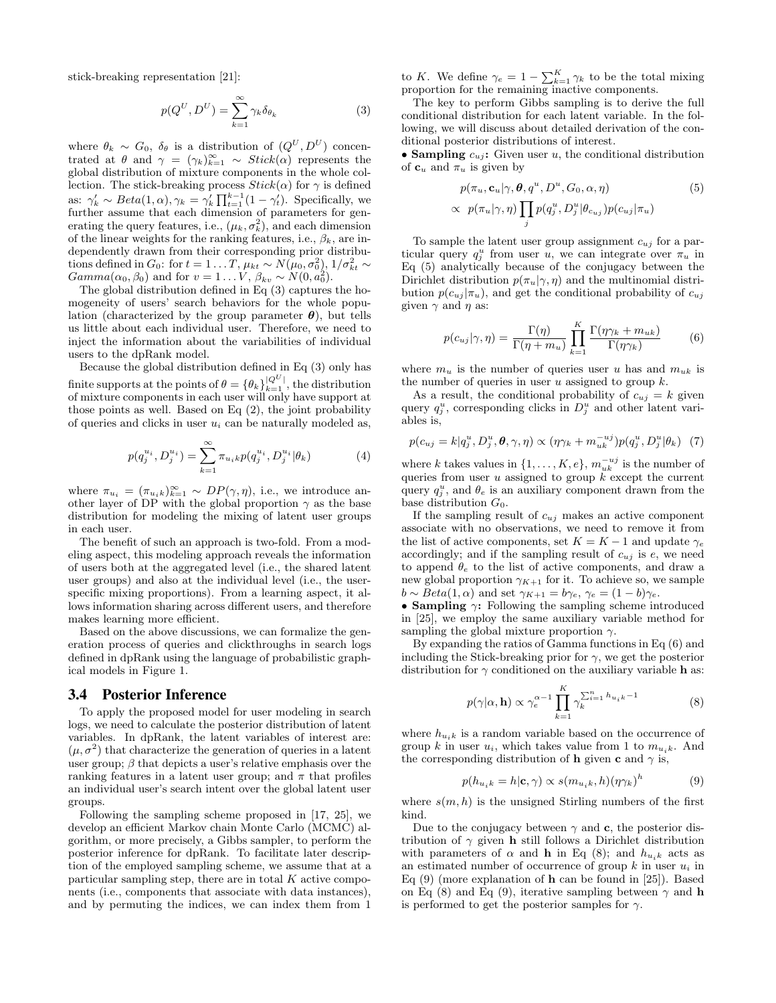stick-breaking representation [21]:

$$
p(Q^U, D^U) = \sum_{k=1}^{\infty} \gamma_k \delta_{\theta_k}
$$
 (3)

where  $\theta_k \sim G_0$ ,  $\delta_{\theta}$  is a distribution of  $(Q^U, D^U)$  concentrated at  $\theta$  and  $\gamma = (\gamma_k)_{k=1}^{\infty} \sim \text{Stick}(\alpha)$  represents the global distribution of mixture components in the whole collection. The stick-breaking process  $Stick(\alpha)$  for  $\gamma$  is defined as:  $\gamma'_{k} \sim Beta(1, \alpha), \gamma_{k} = \gamma'_{k} \prod_{t=1}^{k-1} (1 - \gamma'_{t})$ . Specifically, we further assume that each dimension of parameters for generating the query features, i.e.,  $(\mu_k, \sigma_k^2)$ , and each dimension of the linear weights for the ranking features, i.e.,  $\beta_k$ , are independently drawn from their corresponding prior distributions defined in *G*<sub>0</sub>: for  $t = 1...T$ ,  $\mu_{kt} \sim N(\mu_0, \sigma_0^2), 1/\sigma_{kt}^2 \sim$  $Gamma(\alpha_0, \beta_0)$  and for  $v = 1 \dots V$ ,  $\beta_{kv} \sim N(0, a_0^2)$ .

The global distribution defined in Eq (3) captures the homogeneity of users' search behaviors for the whole population (characterized by the group parameter  $\theta$ ), but tells us little about each individual user. Therefore, we need to inject the information about the variabilities of individual users to the dpRank model.

Because the global distribution defined in Eq (3) only has finite supports at the points of  $\theta = {\theta_k}_{k=1}^{|Q^U|}$ , the distribution of mixture components in each user will only have support at those points as well. Based on Eq (2), the joint probability of queries and clicks in user  $u_i$  can be naturally modeled as,

$$
p(q_j^{u_i}, D_j^{u_i}) = \sum_{k=1}^{\infty} \pi_{u_k k} p(q_j^{u_i}, D_j^{u_i} | \theta_k)
$$
 (4)

where  $\pi_{u_i} = (\pi_{u_i k})_{k=1}^{\infty} \sim DP(\gamma, \eta)$ , i.e., we introduce another layer of DP with the global proportion  $\gamma$  as the base distribution for modeling the mixing of latent user groups in each user.

The benefit of such an approach is two-fold. From a modeling aspect, this modeling approach reveals the information of users both at the aggregated level (i.e., the shared latent user groups) and also at the individual level (i.e., the userspecific mixing proportions). From a learning aspect, it allows information sharing across different users, and therefore makes learning more efficient.

Based on the above discussions, we can formalize the generation process of queries and clickthroughs in search logs defined in dpRank using the language of probabilistic graphical models in Figure 1.

# 3.4 Posterior Inference

To apply the proposed model for user modeling in search logs, we need to calculate the posterior distribution of latent variables. In dpRank, the latent variables of interest are:  $(\mu, \sigma^2)$  that characterize the generation of queries in a latent user group;  $\beta$  that depicts a user's relative emphasis over the ranking features in a latent user group; and  $\pi$  that profiles an individual user's search intent over the global latent user groups.

Following the sampling scheme proposed in [17, 25], we develop an efficient Markov chain Monte Carlo (MCMC) algorithm, or more precisely, a Gibbs sampler, to perform the posterior inference for dpRank. To facilitate later description of the employed sampling scheme, we assume that at a particular sampling step, there are in total *K* active components (i.e., components that associate with data instances), and by permuting the indices, we can index them from 1

to *K*. We define  $\gamma_e = 1 - \sum_{k=1}^K \gamma_k$  to be the total mixing proportion for the remaining inactive components.

The key to perform Gibbs sampling is to derive the full conditional distribution for each latent variable. In the following, we will discuss about detailed derivation of the conditional posterior distributions of interest.

• **Sampling**  $c_{uj}$ : Given user *u*, the conditional distribution of  $\mathbf{c}_u$  and  $\pi_u$  is given by

$$
p(\pi_u, \mathbf{c}_u | \gamma, \boldsymbol{\theta}, q^u, D^u, G_0, \alpha, \eta) \propto p(\pi_u | \gamma, \eta) \prod_j p(q_j^u, D_j^u | \theta_{c_{uj}}) p(c_{uj} | \pi_u)
$$
\n(5)

To sample the latent user group assignment *cuj* for a particular query  $q_j^u$  from user *u*, we can integrate over  $\pi_u$  in Eq (5) analytically because of the conjugacy between the Dirichlet distribution  $p(\pi_u | \gamma, \eta)$  and the multinomial distribution  $p(c_{uj} | \pi_u)$ , and get the conditional probability of  $c_{uj}$ given  $\gamma$  and  $\eta$  as:

$$
p(c_{uj}|\gamma,\eta) = \frac{\Gamma(\eta)}{\Gamma(\eta+m_u)} \prod_{k=1}^{K} \frac{\Gamma(\eta\gamma_k+m_{uk})}{\Gamma(\eta\gamma_k)}
$$
(6)

where  $m_u$  is the number of queries user *u* has and  $m_{uk}$  is the number of queries in user *u* assigned to group *k*.

As a result, the conditional probability of  $c_{uj} = k$  given query  $q_j^u$ , corresponding clicks in  $D_j^u$  and other latent variables is,

$$
p(c_{uj} = k|q_j^u, D_j^u, \boldsymbol{\theta}, \gamma, \eta) \propto (\eta \gamma_k + m_{uk}^{-uj}) p(q_j^u, D_j^u | \theta_k)
$$
 (7)

where *k* takes values in  $\{1, \ldots, K, e\}$ ,  $m_{uk}^{-uj}$  is the number of queries from user *u* assigned to group *k* except the current query  $q_j^u$ , and  $\theta_e$  is an auxiliary component drawn from the base distribution *G*0.

If the sampling result of *cuj* makes an active component associate with no observations, we need to remove it from the list of active components, set  $K = K - 1$  and update  $\gamma_e$ accordingly; and if the sampling result of  $c_{uj}$  is  $e$ , we need to append  $\theta_e$  to the list of active components, and draw a new global proportion  $\gamma_{K+1}$  for it. To achieve so, we sample  $b \sim Beta(1, \alpha)$  and set  $\gamma_{K+1} = b\gamma_e, \gamma_e = (1 - b)\gamma_e$ .

*•* **Sampling** *γ***:** Following the sampling scheme introduced in [25], we employ the same auxiliary variable method for sampling the global mixture proportion *γ*.

By expanding the ratios of Gamma functions in Eq (6) and including the Stick-breaking prior for  $\gamma$ , we get the posterior distribution for *γ* conditioned on the auxiliary variable **h** as:

$$
p(\gamma|\alpha, \mathbf{h}) \propto \gamma_e^{\alpha - 1} \prod_{k=1}^K \gamma_k^{\sum_{i=1}^n h_{u_i k} - 1}
$$
 (8)

where  $h_{u_i k}$  is a random variable based on the occurrence of group *k* in user  $u_i$ , which takes value from 1 to  $m_{u,k}$ . And the corresponding distribution of **h** given **c** and  $\gamma$  is,

$$
p(h_{u_i k} = h | \mathbf{c}, \gamma) \propto s(m_{u_i k}, h) (\eta \gamma_k)^h \tag{9}
$$

where  $s(m, h)$  is the unsigned Stirling numbers of the first kind.

Due to the conjugacy between  $\gamma$  and **c**, the posterior distribution of *γ* given **h** still follows a Dirichlet distribution with parameters of  $\alpha$  and **h** in Eq (8); and  $h_{u,k}$  acts as an estimated number of occurrence of group *k* in user *u<sup>i</sup>* in Eq (9) (more explanation of **h** can be found in [25]). Based on Eq (8) and Eq (9), iterative sampling between  $\gamma$  and **h** is performed to get the posterior samples for *γ*.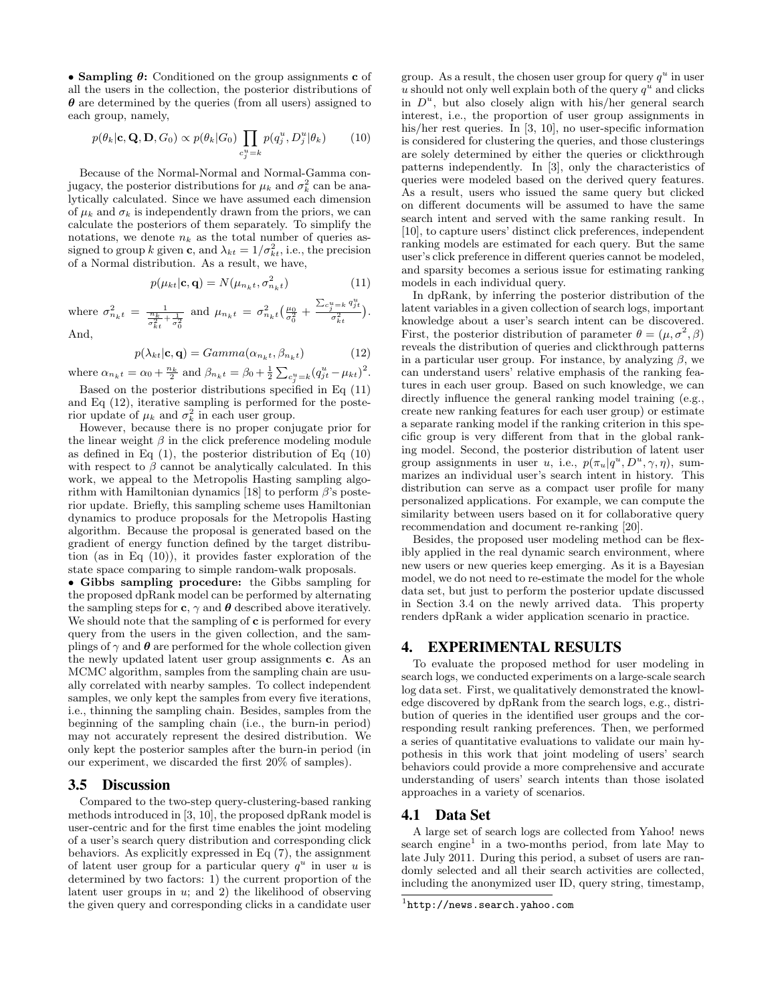*•* **Sampling** *θ***:** Conditioned on the group assignments **c** of all the users in the collection, the posterior distributions of *θ* are determined by the queries (from all users) assigned to each group, namely,

$$
p(\theta_k | \mathbf{c}, \mathbf{Q}, \mathbf{D}, G_0) \propto p(\theta_k | G_0) \prod_{c_j^u = k} p(q_j^u, D_j^u | \theta_k)
$$
 (10)

Because of the Normal-Normal and Normal-Gamma conjugacy, the posterior distributions for  $\mu_k$  and  $\sigma_k^2$  can be analytically calculated. Since we have assumed each dimension of  $\mu_k$  and  $\sigma_k$  is independently drawn from the priors, we can calculate the posteriors of them separately. To simplify the notations, we denote  $n_k$  as the total number of queries assigned to group *k* given **c**, and  $\lambda_{kt} = 1/\sigma_{kt}^2$ , i.e., the precision of a Normal distribution. As a result, we have,

$$
p(\mu_{kt}|\mathbf{c}, \mathbf{q}) = N(\mu_{n_k t}, \sigma_{n_k t}^2)
$$
 (11)

where  $\sigma_{n_k t}^2 = \frac{1}{\frac{n_k^2}{\sigma_{kt}^2} + \frac{1}{\sigma_0^2}}$ and  $\mu_{n_k t} = \sigma_{n_k t}^2 \left( \frac{\mu_0}{\sigma_0^2} + \frac{\sum_{c_j^u = k} q_{jt}^u}{\sigma_{kt}^2} \right)$ . And,

$$
p(\lambda_{kt}|\mathbf{c}, \mathbf{q}) = Gamma(\alpha_{n_k t}, \beta_{n_k t})
$$
 (12)

where  $\alpha_{n_k t} = \alpha_0 + \frac{n_k}{2}$  and  $\beta_{n_k t} = \beta_0 + \frac{1}{2} \sum_{c_j^u = k} (q_{jt}^u - \mu_{kt})^2$ .

Based on the posterior distributions specified in Eq (11) and Eq (12), iterative sampling is performed for the posterior update of  $\mu_k$  and  $\sigma_k^2$  in each user group.

However, because there is no proper conjugate prior for the linear weight  $\beta$  in the click preference modeling module as defined in Eq  $(1)$ , the posterior distribution of Eq  $(10)$ with respect to  $\beta$  cannot be analytically calculated. In this work, we appeal to the Metropolis Hasting sampling algorithm with Hamiltonian dynamics [18] to perform *β*'s posterior update. Briefly, this sampling scheme uses Hamiltonian dynamics to produce proposals for the Metropolis Hasting algorithm. Because the proposal is generated based on the gradient of energy function defined by the target distribution (as in Eq (10)), it provides faster exploration of the state space comparing to simple random-walk proposals.

*•* **Gibbs sampling procedure:** the Gibbs sampling for the proposed dpRank model can be performed by alternating the sampling steps for **c**,  $\gamma$  and  $\theta$  described above iteratively. We should note that the sampling of **c** is performed for every query from the users in the given collection, and the samplings of  $\gamma$  and  $\theta$  are performed for the whole collection given the newly updated latent user group assignments **c**. As an MCMC algorithm, samples from the sampling chain are usually correlated with nearby samples. To collect independent samples, we only kept the samples from every five iterations, i.e., thinning the sampling chain. Besides, samples from the beginning of the sampling chain (i.e., the burn-in period) may not accurately represent the desired distribution. We only kept the posterior samples after the burn-in period (in our experiment, we discarded the first 20% of samples).

# 3.5 Discussion

Compared to the two-step query-clustering-based ranking methods introduced in [3, 10], the proposed dpRank model is user-centric and for the first time enables the joint modeling of a user's search query distribution and corresponding click behaviors. As explicitly expressed in Eq (7), the assignment of latent user group for a particular query  $q^u$  in user *u* is determined by two factors: 1) the current proportion of the latent user groups in *u*; and 2) the likelihood of observing the given query and corresponding clicks in a candidate user

group. As a result, the chosen user group for query  $q^u$  in user *u* should not only well explain both of the query  $q^u$  and clicks in  $D^u$ , but also closely align with his/her general search interest, i.e., the proportion of user group assignments in his/her rest queries. In [3, 10], no user-specific information is considered for clustering the queries, and those clusterings are solely determined by either the queries or clickthrough patterns independently. In [3], only the characteristics of queries were modeled based on the derived query features. As a result, users who issued the same query but clicked on different documents will be assumed to have the same search intent and served with the same ranking result. In [10], to capture users' distinct click preferences, independent ranking models are estimated for each query. But the same user's click preference in different queries cannot be modeled, and sparsity becomes a serious issue for estimating ranking models in each individual query.

In dpRank, by inferring the posterior distribution of the latent variables in a given collection of search logs, important knowledge about a user's search intent can be discovered. First, the posterior distribution of parameter  $\theta = (\mu, \sigma^2, \beta)$ reveals the distribution of queries and clickthrough patterns in a particular user group. For instance, by analyzing  $\beta$ , we can understand users' relative emphasis of the ranking features in each user group. Based on such knowledge, we can directly influence the general ranking model training (e.g., create new ranking features for each user group) or estimate a separate ranking model if the ranking criterion in this specific group is very different from that in the global ranking model. Second, the posterior distribution of latent user group assignments in user *u*, i.e.,  $p(\pi_u | q^u, D^u, \gamma, \eta)$ , summarizes an individual user's search intent in history. This distribution can serve as a compact user profile for many personalized applications. For example, we can compute the similarity between users based on it for collaborative query recommendation and document re-ranking [20].

Besides, the proposed user modeling method can be flexibly applied in the real dynamic search environment, where new users or new queries keep emerging. As it is a Bayesian model, we do not need to re-estimate the model for the whole data set, but just to perform the posterior update discussed in Section 3.4 on the newly arrived data. This property renders dpRank a wider application scenario in practice.

# 4. EXPERIMENTAL RESULTS

To evaluate the proposed method for user modeling in search logs, we conducted experiments on a large-scale search log data set. First, we qualitatively demonstrated the knowledge discovered by dpRank from the search logs, e.g., distribution of queries in the identified user groups and the corresponding result ranking preferences. Then, we performed a series of quantitative evaluations to validate our main hypothesis in this work that joint modeling of users' search behaviors could provide a more comprehensive and accurate understanding of users' search intents than those isolated approaches in a variety of scenarios.

# 4.1 Data Set

A large set of search logs are collected from Yahoo! news search engine<sup>1</sup> in a two-months period, from late May to late July 2011. During this period, a subset of users are randomly selected and all their search activities are collected, including the anonymized user ID, query string, timestamp,

 $^{1}$ http://news.search.yahoo.com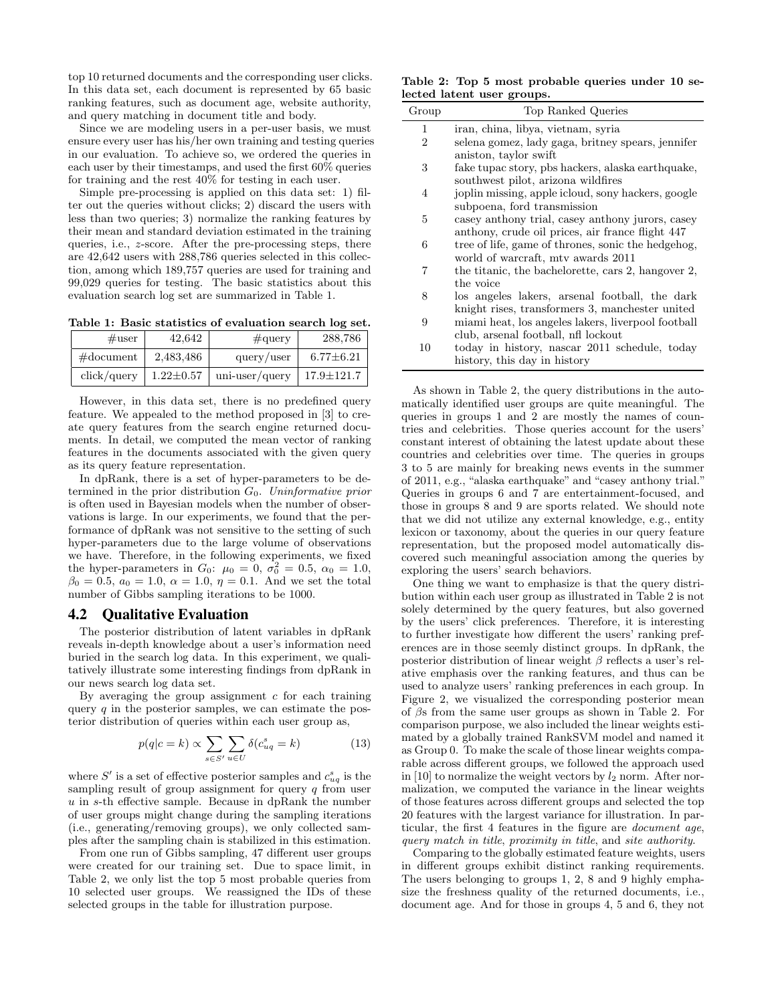top 10 returned documents and the corresponding user clicks. In this data set, each document is represented by 65 basic ranking features, such as document age, website authority, and query matching in document title and body.

Since we are modeling users in a per-user basis, we must ensure every user has his/her own training and testing queries in our evaluation. To achieve so, we ordered the queries in each user by their timestamps, and used the first 60% queries for training and the rest 40% for testing in each user.

Simple pre-processing is applied on this data set: 1) filter out the queries without clicks; 2) discard the users with less than two queries; 3) normalize the ranking features by their mean and standard deviation estimated in the training queries, i.e., *z*-score. After the pre-processing steps, there are 42,642 users with 288,786 queries selected in this collection, among which 189,757 queries are used for training and 99,029 queries for testing. The basic statistics about this evaluation search log set are summarized in Table 1.

**Table 1: Basic statistics of evaluation search log set.**

| $\#\text{user}$ | 42,642          | $\#\text{query}$ | 288,786          |
|-----------------|-----------------|------------------|------------------|
| $\#$ document   | 2,483,486       | query/user       | $6.77{\pm}6.21$  |
| click/query     | $1.22 \pm 0.57$ | $uni-user/query$ | $17.9 \pm 121.7$ |

However, in this data set, there is no predefined query feature. We appealed to the method proposed in [3] to create query features from the search engine returned documents. In detail, we computed the mean vector of ranking features in the documents associated with the given query as its query feature representation.

In dpRank, there is a set of hyper-parameters to be determined in the prior distribution *G*0. *Uninformative prior* is often used in Bayesian models when the number of observations is large. In our experiments, we found that the performance of dpRank was not sensitive to the setting of such hyper-parameters due to the large volume of observations we have. Therefore, in the following experiments, we fixed the hyper-parameters in *G*<sub>0</sub>:  $\mu_0 = 0, \sigma_0^2 = 0.5, \alpha_0 = 1.0,$  $\beta_0 = 0.5$ ,  $a_0 = 1.0$ ,  $\alpha = 1.0$ ,  $\eta = 0.1$ . And we set the total number of Gibbs sampling iterations to be 1000.

# 4.2 Qualitative Evaluation

The posterior distribution of latent variables in dpRank reveals in-depth knowledge about a user's information need buried in the search log data. In this experiment, we qualitatively illustrate some interesting findings from dpRank in our news search log data set.

By averaging the group assignment *c* for each training query *q* in the posterior samples, we can estimate the posterior distribution of queries within each user group as,

$$
p(q|c=k) \propto \sum_{s \in S'} \sum_{u \in U} \delta(c_{uq}^s = k)
$$
 (13)

where  $S'$  is a set of effective posterior samples and  $c_{uq}^s$  is the sampling result of group assignment for query *q* from user *u* in *s*-th effective sample. Because in dpRank the number of user groups might change during the sampling iterations (i.e., generating/removing groups), we only collected samples after the sampling chain is stabilized in this estimation.

From one run of Gibbs sampling, 47 different user groups were created for our training set. Due to space limit, in Table 2, we only list the top 5 most probable queries from 10 selected user groups. We reassigned the IDs of these selected groups in the table for illustration purpose.

**Table 2: Top 5 most probable queries under 10 selected latent user groups.**

|       | o                                                                                                    |
|-------|------------------------------------------------------------------------------------------------------|
| Group | Top Ranked Queries                                                                                   |
| 1     | iran, china, libya, vietnam, syria                                                                   |
| 2     | selena gomez, lady gaga, britney spears, jennifer<br>aniston, taylor swift                           |
| 3     | fake tupac story, pbs hackers, alaska earthquake,<br>southwest pilot, arizona wildfires              |
| 4     | joplin missing, apple icloud, sony hackers, google<br>subpoena, ford transmission                    |
| 5     | casey anthony trial, casey anthony jurors, casey<br>anthony, crude oil prices, air france flight 447 |
| 6     | tree of life, game of thrones, sonic the hedgehog,<br>world of warcraft, mtv awards 2011             |
| 7     | the titanic, the bachelorette, cars 2, hangover 2,<br>the voice                                      |
| 8     | los angeles lakers, arsenal football, the dark<br>knight rises, transformers 3, manchester united    |
| 9     | miami heat, los angeles lakers, liverpool football<br>club, arsenal football, nfl lockout            |
| 10    | today in history, nascar 2011 schedule, today<br>history, this day in history                        |

As shown in Table 2, the query distributions in the automatically identified user groups are quite meaningful. The queries in groups 1 and 2 are mostly the names of countries and celebrities. Those queries account for the users' constant interest of obtaining the latest update about these countries and celebrities over time. The queries in groups 3 to 5 are mainly for breaking news events in the summer of 2011, e.g., "alaska earthquake" and "casey anthony trial." Queries in groups 6 and 7 are entertainment-focused, and those in groups 8 and 9 are sports related. We should note that we did not utilize any external knowledge, e.g., entity lexicon or taxonomy, about the queries in our query feature representation, but the proposed model automatically discovered such meaningful association among the queries by exploring the users' search behaviors.

One thing we want to emphasize is that the query distribution within each user group as illustrated in Table 2 is not solely determined by the query features, but also governed by the users' click preferences. Therefore, it is interesting to further investigate how different the users' ranking preferences are in those seemly distinct groups. In dpRank, the posterior distribution of linear weight *β* reflects a user's relative emphasis over the ranking features, and thus can be used to analyze users' ranking preferences in each group. In Figure 2, we visualized the corresponding posterior mean of *β*s from the same user groups as shown in Table 2. For comparison purpose, we also included the linear weights estimated by a globally trained RankSVM model and named it as Group 0. To make the scale of those linear weights comparable across different groups, we followed the approach used in [10] to normalize the weight vectors by  $l_2$  norm. After normalization, we computed the variance in the linear weights of those features across different groups and selected the top 20 features with the largest variance for illustration. In particular, the first 4 features in the figure are *document age*, *query match in title*, *proximity in title*, and *site authority*.

Comparing to the globally estimated feature weights, users in different groups exhibit distinct ranking requirements. The users belonging to groups 1, 2, 8 and 9 highly emphasize the freshness quality of the returned documents, i.e., document age. And for those in groups 4, 5 and 6, they not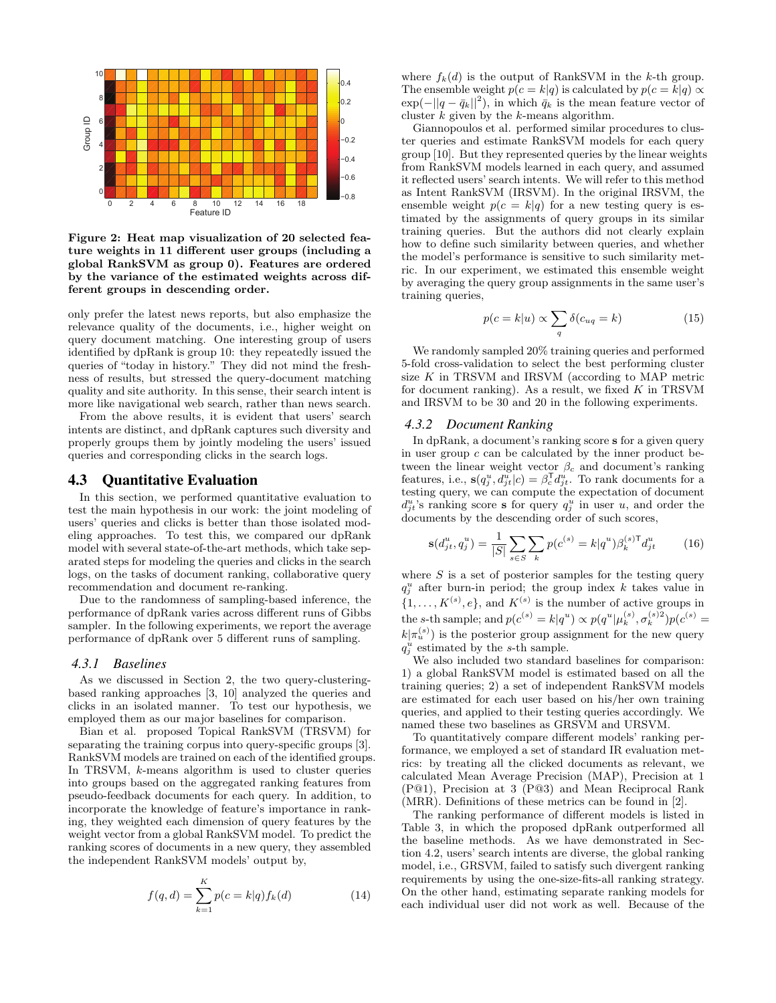

**Figure 2: Heat map visualization of 20 selected feature weights in 11 different user groups (including a global RankSVM as group 0). Features are ordered by the variance of the estimated weights across different groups in descending order.**

only prefer the latest news reports, but also emphasize the relevance quality of the documents, i.e., higher weight on query document matching. One interesting group of users identified by dpRank is group 10: they repeatedly issued the queries of "today in history." They did not mind the freshness of results, but stressed the query-document matching quality and site authority. In this sense, their search intent is more like navigational web search, rather than news search.

From the above results, it is evident that users' search intents are distinct, and dpRank captures such diversity and properly groups them by jointly modeling the users' issued queries and corresponding clicks in the search logs.

#### 4.3 Quantitative Evaluation

In this section, we performed quantitative evaluation to test the main hypothesis in our work: the joint modeling of users' queries and clicks is better than those isolated modeling approaches. To test this, we compared our dpRank model with several state-of-the-art methods, which take separated steps for modeling the queries and clicks in the search logs, on the tasks of document ranking, collaborative query recommendation and document re-ranking.

Due to the randomness of sampling-based inference, the performance of dpRank varies across different runs of Gibbs sampler. In the following experiments, we report the average performance of dpRank over 5 different runs of sampling.

#### *4.3.1 Baselines*

As we discussed in Section 2, the two query-clusteringbased ranking approaches [3, 10] analyzed the queries and clicks in an isolated manner. To test our hypothesis, we employed them as our major baselines for comparison.

Bian et al. proposed Topical RankSVM (TRSVM) for separating the training corpus into query-specific groups [3]. RankSVM models are trained on each of the identified groups. In TRSVM, *k*-means algorithm is used to cluster queries into groups based on the aggregated ranking features from pseudo-feedback documents for each query. In addition, to incorporate the knowledge of feature's importance in ranking, they weighted each dimension of query features by the weight vector from a global RankSVM model. To predict the ranking scores of documents in a new query, they assembled the independent RankSVM models' output by,

$$
f(q,d) = \sum_{k=1}^{K} p(c=k|q) f_k(d)
$$
 (14)

where  $f_k(d)$  is the output of RankSVM in the *k*-th group. The ensemble weight  $p(c = k|q)$  is calculated by  $p(c = k|q) \propto$  $\exp(-||q - \bar{q}_k||^2)$ , in which  $\bar{q}_k$  is the mean feature vector of cluster *k* given by the *k*-means algorithm.

Giannopoulos et al. performed similar procedures to cluster queries and estimate RankSVM models for each query group [10]. But they represented queries by the linear weights from RankSVM models learned in each query, and assumed it reflected users' search intents. We will refer to this method as Intent RankSVM (IRSVM). In the original IRSVM, the ensemble weight  $p(c = k|q)$  for a new testing query is estimated by the assignments of query groups in its similar training queries. But the authors did not clearly explain how to define such similarity between queries, and whether the model's performance is sensitive to such similarity metric. In our experiment, we estimated this ensemble weight by averaging the query group assignments in the same user's training queries,

$$
p(c = k|u) \propto \sum_{q} \delta(c_{uq} = k)
$$
 (15)

We randomly sampled 20% training queries and performed 5-fold cross-validation to select the best performing cluster size *K* in TRSVM and IRSVM (according to MAP metric for document ranking). As a result, we fixed *K* in TRSVM and IRSVM to be 30 and 20 in the following experiments.

#### *4.3.2 Document Ranking*

In dpRank, a document's ranking score **s** for a given query in user group *c* can be calculated by the inner product between the linear weight vector *β<sup>c</sup>* and document's ranking features, i.e.,  $\mathbf{s}(q_j^u, d_{jt}^{\overline{u}}|c) = \beta_c^{\mathsf{T}} d_{jt}^{\overline{u}}$ . To rank documents for a testing query, we can compute the expectation of document  $d_{jt}^u$ 's ranking score **s** for query  $q_j^u$  in user *u*, and order the documents by the descending order of such scores,

$$
\mathbf{s}(d_{jt}^u, q_j^u) = \frac{1}{|S|} \sum_{s \in S} \sum_k p(c^{(s)} = k | q^u) \beta_k^{(s) \mathsf{T}} d_{jt}^u \tag{16}
$$

where *S* is a set of posterior samples for the testing query  $q_j^u$  after burn-in period; the group index *k* takes value in  $\{1, \ldots, K^{(s)}, e\}$ , and  $K^{(s)}$  is the number of active groups in the s-th sample; and  $p(c^{(s)} = k|q^u) \propto p(q^u|\mu_k^{(s)}, \sigma_k^{(s)2})p(c^{(s)} =$  $k|\pi_u^{(s)}\rangle$  is the posterior group assignment for the new query  $q_j^u$  estimated by the *s*-th sample.

We also included two standard baselines for comparison: 1) a global RankSVM model is estimated based on all the training queries; 2) a set of independent RankSVM models are estimated for each user based on his/her own training queries, and applied to their testing queries accordingly. We named these two baselines as GRSVM and URSVM.

To quantitatively compare different models' ranking performance, we employed a set of standard IR evaluation metrics: by treating all the clicked documents as relevant, we calculated Mean Average Precision (MAP), Precision at 1 (P@1), Precision at 3 (P@3) and Mean Reciprocal Rank (MRR). Definitions of these metrics can be found in [2].

The ranking performance of different models is listed in Table 3, in which the proposed dpRank outperformed all the baseline methods. As we have demonstrated in Section 4.2, users' search intents are diverse, the global ranking model, i.e., GRSVM, failed to satisfy such divergent ranking requirements by using the one-size-fits-all ranking strategy. On the other hand, estimating separate ranking models for each individual user did not work as well. Because of the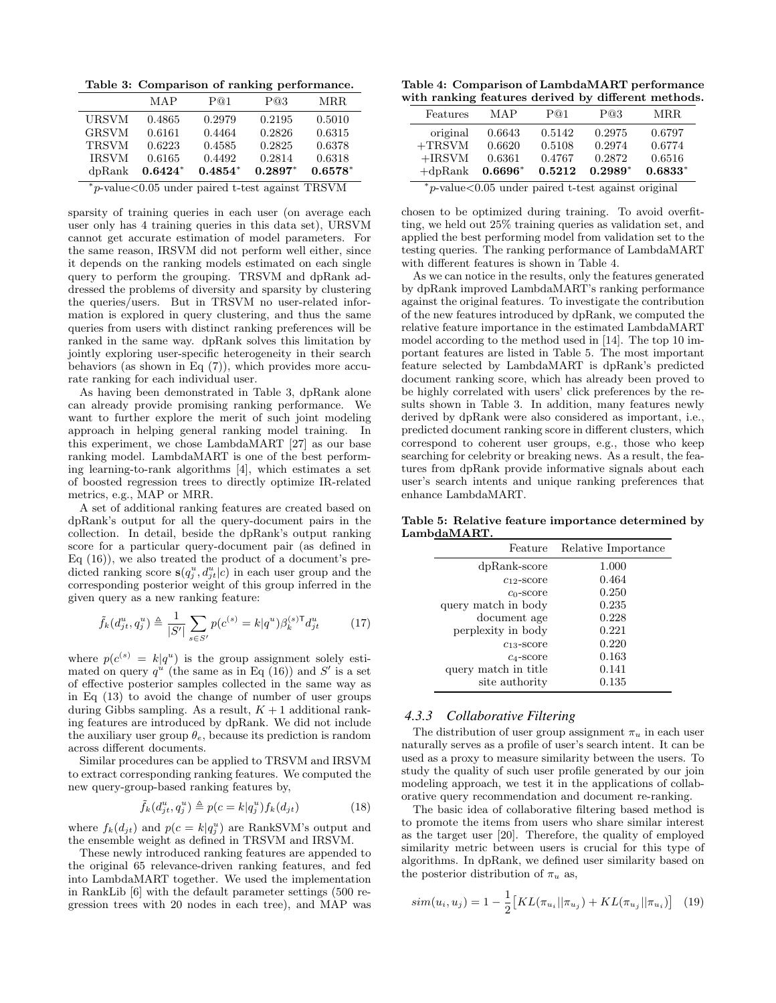**Table 3: Comparison of ranking performance.**

|                       | MAP       | P@1       | P@3       | MRR       |
|-----------------------|-----------|-----------|-----------|-----------|
| <b>URSVM</b>          | 0.4865    | 0.2979    | 0.2195    | 0.5010    |
| <b>GRSVM</b>          | 0.6161    | 0.4464    | 0.2826    | 0.6315    |
| <b>TRSVM</b>          | 0.6223    | 0.4585    | 0.2825    | 0.6378    |
| <b>IRSVM</b>          | 0.6165    | 0.4492    | 0.2814    | 0.6318    |
| $d$ <sub>p</sub> Rank | $0.6424*$ | $0.4854*$ | $0.2897*$ | $0.6578*$ |

*∗ p*-value*<*0.05 under paired t-test against TRSVM

sparsity of training queries in each user (on average each user only has 4 training queries in this data set), URSVM cannot get accurate estimation of model parameters. For the same reason, IRSVM did not perform well either, since it depends on the ranking models estimated on each single query to perform the grouping. TRSVM and dpRank addressed the problems of diversity and sparsity by clustering the queries/users. But in TRSVM no user-related information is explored in query clustering, and thus the same queries from users with distinct ranking preferences will be ranked in the same way. dpRank solves this limitation by jointly exploring user-specific heterogeneity in their search behaviors (as shown in Eq (7)), which provides more accurate ranking for each individual user.

As having been demonstrated in Table 3, dpRank alone can already provide promising ranking performance. We want to further explore the merit of such joint modeling approach in helping general ranking model training. In this experiment, we chose LambdaMART [27] as our base ranking model. LambdaMART is one of the best performing learning-to-rank algorithms [4], which estimates a set of boosted regression trees to directly optimize IR-related metrics, e.g., MAP or MRR.

A set of additional ranking features are created based on dpRank's output for all the query-document pairs in the collection. In detail, beside the dpRank's output ranking score for a particular query-document pair (as defined in Eq (16)), we also treated the product of a document's predicted ranking score  $\mathbf{s}(q_j^u, d_{jt}^u | c)$  in each user group and the corresponding posterior weight of this group inferred in the given query as a new ranking feature:

$$
\tilde{f}_k(d_{jt}^u, q_j^u) \triangleq \frac{1}{|S'|} \sum_{s \in S'} p(c^{(s)} = k | q^u) \beta_k^{(s) \mathsf{T}} d_{jt}^u \tag{17}
$$

where  $p(c^{(s)} = k|q^u)$  is the group assignment solely estimated on query  $q^u$  (the same as in Eq (16)) and  $S'$  is a set of effective posterior samples collected in the same way as in Eq (13) to avoid the change of number of user groups during Gibbs sampling. As a result,  $K + 1$  additional ranking features are introduced by dpRank. We did not include the auxiliary user group  $\theta_e$ , because its prediction is random across different documents.

Similar procedures can be applied to TRSVM and IRSVM to extract corresponding ranking features. We computed the new query-group-based ranking features by,

$$
\tilde{f}_k(d_{jt}^u, q_j^u) \triangleq p(c = k|q_j^u) f_k(d_{jt})
$$
\n(18)

where  $f_k(d_{jt})$  and  $p(c = k|q_j^u)$  are RankSVM's output and the ensemble weight as defined in TRSVM and IRSVM.

These newly introduced ranking features are appended to the original 65 relevance-driven ranking features, and fed into LambdaMART together. We used the implementation in RankLib [6] with the default parameter settings (500 regression trees with 20 nodes in each tree), and MAP was

**Table 4: Comparison of LambdaMART performance with ranking features derived by different methods.**

| Features         | MAP       | P@1    | P@3       | MR.R.     |
|------------------|-----------|--------|-----------|-----------|
| original         | 0.6643    | 0.5142 | 0.2975    | 0.6797    |
| $+TRSVM$         | 0.6620    | 0.5108 | 0.2974    | 0.6774    |
| $+$ IRSVM        | 0.6361    | 0.4767 | 0.2872    | 0.6516    |
| $+\text{dpRank}$ | $0.6696*$ | 0.5212 | $0.2989*$ | $0.6833*$ |

*∗ p*-value*<*0.05 under paired t-test against original

chosen to be optimized during training. To avoid overfitting, we held out 25% training queries as validation set, and applied the best performing model from validation set to the testing queries. The ranking performance of LambdaMART with different features is shown in Table 4.

As we can notice in the results, only the features generated by dpRank improved LambdaMART's ranking performance against the original features. To investigate the contribution of the new features introduced by dpRank, we computed the relative feature importance in the estimated LambdaMART model according to the method used in [14]. The top 10 important features are listed in Table 5. The most important feature selected by LambdaMART is dpRank's predicted document ranking score, which has already been proved to be highly correlated with users' click preferences by the results shown in Table 3. In addition, many features newly derived by dpRank were also considered as important, i.e., predicted document ranking score in different clusters, which correspond to coherent user groups, e.g., those who keep searching for celebrity or breaking news. As a result, the features from dpRank provide informative signals about each user's search intents and unique ranking preferences that enhance LambdaMART.

**Table 5: Relative feature importance determined by** LambdaMART.

| Feature              | Relative Importance |
|----------------------|---------------------|
| dpRank-score         | 1.000               |
| $c_{12}$ -score      | 0.464               |
| $c_0$ -score         | 0.250               |
| query match in body  | 0.235               |
| document age         | 0.228               |
| perplexity in body   | 0.221               |
| $c_{13}$ -score      | 0.220               |
| $c_4$ -score         | 0.163               |
| query match in title | 0.141               |
| site authority       | 0.135               |

#### *4.3.3 Collaborative Filtering*

The distribution of user group assignment  $\pi_u$  in each user naturally serves as a profile of user's search intent. It can be used as a proxy to measure similarity between the users. To study the quality of such user profile generated by our join modeling approach, we test it in the applications of collaborative query recommendation and document re-ranking.

The basic idea of collaborative filtering based method is to promote the items from users who share similar interest as the target user [20]. Therefore, the quality of employed similarity metric between users is crucial for this type of algorithms. In dpRank, we defined user similarity based on the posterior distribution of  $\pi_u$  as,

$$
sim(u_i, u_j) = 1 - \frac{1}{2} \left[ KL(\pi_{u_i} || \pi_{u_j}) + KL(\pi_{u_j} || \pi_{u_i}) \right] \tag{19}
$$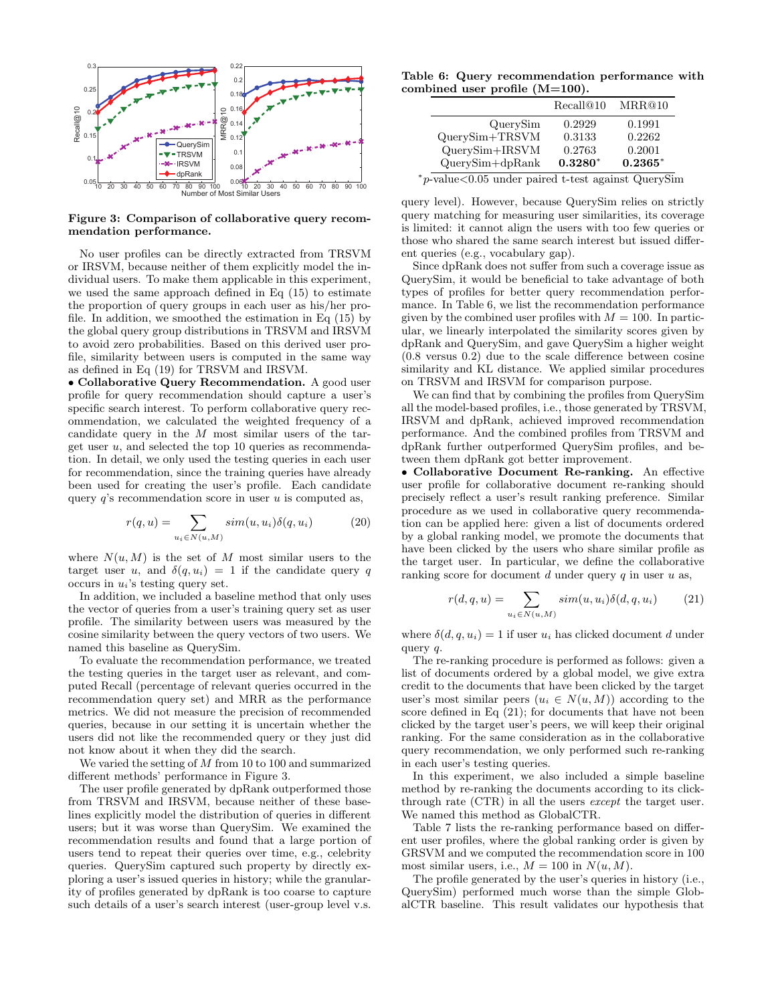

**Figure 3: Comparison of collaborative query recommendation performance.**

No user profiles can be directly extracted from TRSVM or IRSVM, because neither of them explicitly model the individual users. To make them applicable in this experiment, we used the same approach defined in Eq (15) to estimate the proportion of query groups in each user as his/her profile. In addition, we smoothed the estimation in Eq (15) by the global query group distributions in TRSVM and IRSVM to avoid zero probabilities. Based on this derived user profile, similarity between users is computed in the same way as defined in Eq (19) for TRSVM and IRSVM.

*•* **Collaborative Query Recommendation.** A good user profile for query recommendation should capture a user's specific search interest. To perform collaborative query recommendation, we calculated the weighted frequency of a candidate query in the *M* most similar users of the target user *u*, and selected the top 10 queries as recommendation. In detail, we only used the testing queries in each user for recommendation, since the training queries have already been used for creating the user's profile. Each candidate query *q*'s recommendation score in user *u* is computed as,

$$
r(q, u) = \sum_{u_i \in N(u, M)} sim(u, u_i) \delta(q, u_i)
$$
 (20)

where  $N(u, M)$  is the set of M most similar users to the target user *u*, and  $\delta(q, u_i) = 1$  if the candidate query *q* occurs in *ui*'s testing query set.

In addition, we included a baseline method that only uses the vector of queries from a user's training query set as user profile. The similarity between users was measured by the cosine similarity between the query vectors of two users. We named this baseline as QuerySim.

To evaluate the recommendation performance, we treated the testing queries in the target user as relevant, and computed Recall (percentage of relevant queries occurred in the recommendation query set) and MRR as the performance metrics. We did not measure the precision of recommended queries, because in our setting it is uncertain whether the users did not like the recommended query or they just did not know about it when they did the search.

We varied the setting of *M* from 10 to 100 and summarized different methods' performance in Figure 3.

The user profile generated by dpRank outperformed those from TRSVM and IRSVM, because neither of these baselines explicitly model the distribution of queries in different users; but it was worse than QuerySim. We examined the recommendation results and found that a large portion of users tend to repeat their queries over time, e.g., celebrity queries. QuerySim captured such property by directly exploring a user's issued queries in history; while the granularity of profiles generated by dpRank is too coarse to capture such details of a user's search interest (user-group level v.s.

**Table 6: Query recommendation performance with combined user profile (M=100).**

|                        | Recall <sup>@10</sup> | MRR@10    |
|------------------------|-----------------------|-----------|
| QuerySim               | 0.2929                | 0.1991    |
| $\rm{Query Sim+TRSVM}$ | 0.3133                | 0.2262    |
| QuerySim+IRSVM         | 0.2763                | 0.2001    |
| $QuerySim + dpRank$    | $0.3280*$             | $0.2365*$ |

*∗ p*-value*<*0.05 under paired t-test against QuerySim

query level). However, because QuerySim relies on strictly query matching for measuring user similarities, its coverage is limited: it cannot align the users with too few queries or those who shared the same search interest but issued different queries (e.g., vocabulary gap).

Since dpRank does not suffer from such a coverage issue as QuerySim, it would be beneficial to take advantage of both types of profiles for better query recommendation performance. In Table 6, we list the recommendation performance given by the combined user profiles with  $M = 100$ . In particular, we linearly interpolated the similarity scores given by dpRank and QuerySim, and gave QuerySim a higher weight (0.8 versus 0.2) due to the scale difference between cosine similarity and KL distance. We applied similar procedures on TRSVM and IRSVM for comparison purpose.

We can find that by combining the profiles from QuerySim all the model-based profiles, i.e., those generated by TRSVM, IRSVM and dpRank, achieved improved recommendation performance. And the combined profiles from TRSVM and dpRank further outperformed QuerySim profiles, and between them dpRank got better improvement.

*•* **Collaborative Document Re-ranking.** An effective user profile for collaborative document re-ranking should precisely reflect a user's result ranking preference. Similar procedure as we used in collaborative query recommendation can be applied here: given a list of documents ordered by a global ranking model, we promote the documents that have been clicked by the users who share similar profile as the target user. In particular, we define the collaborative ranking score for document *d* under query *q* in user *u* as,

$$
r(d, q, u) = \sum_{u_i \in N(u, M)} sim(u, u_i) \delta(d, q, u_i)
$$
 (21)

where  $\delta(d, q, u_i) = 1$  if user  $u_i$  has clicked document *d* under query *q*.

The re-ranking procedure is performed as follows: given a list of documents ordered by a global model, we give extra credit to the documents that have been clicked by the target user's most similar peers  $(u_i \in N(u, M))$  according to the score defined in Eq (21); for documents that have not been clicked by the target user's peers, we will keep their original ranking. For the same consideration as in the collaborative query recommendation, we only performed such re-ranking in each user's testing queries.

In this experiment, we also included a simple baseline method by re-ranking the documents according to its clickthrough rate (CTR) in all the users *except* the target user. We named this method as GlobalCTR.

Table 7 lists the re-ranking performance based on different user profiles, where the global ranking order is given by GRSVM and we computed the recommendation score in 100 most similar users, i.e.,  $M = 100$  in  $N(u, M)$ .

The profile generated by the user's queries in history (i.e., QuerySim) performed much worse than the simple GlobalCTR baseline. This result validates our hypothesis that